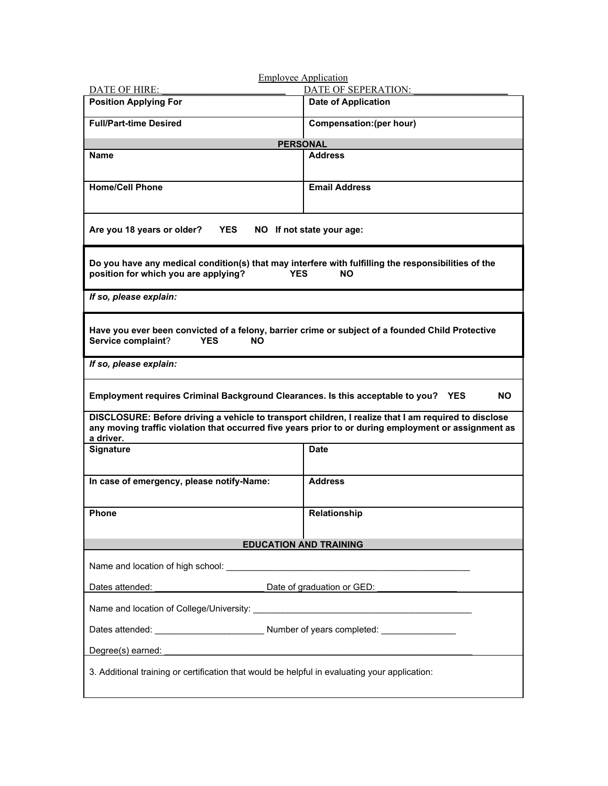| <b>DATE OF HIRE:</b><br><b>Position Applying For</b>                                                                                                                                                                           | DATE OF SEPERATION:<br><b>Date of Application</b> |  |
|--------------------------------------------------------------------------------------------------------------------------------------------------------------------------------------------------------------------------------|---------------------------------------------------|--|
| <b>Full/Part-time Desired</b>                                                                                                                                                                                                  | Compensation: (per hour)                          |  |
| <b>PERSONAL</b>                                                                                                                                                                                                                |                                                   |  |
| <b>Name</b>                                                                                                                                                                                                                    | <b>Address</b>                                    |  |
|                                                                                                                                                                                                                                |                                                   |  |
| <b>Home/Cell Phone</b>                                                                                                                                                                                                         | <b>Email Address</b>                              |  |
|                                                                                                                                                                                                                                |                                                   |  |
| Are you 18 years or older?<br>YES<br>NO If not state your age:                                                                                                                                                                 |                                                   |  |
| Do you have any medical condition(s) that may interfere with fulfilling the responsibilities of the<br>position for which you are applying?<br><b>YES</b><br><b>NO</b>                                                         |                                                   |  |
| If so, please explain:                                                                                                                                                                                                         |                                                   |  |
| Have you ever been convicted of a felony, barrier crime or subject of a founded Child Protective<br>Service complaint?<br><b>YES</b><br>NΟ                                                                                     |                                                   |  |
| If so, please explain:                                                                                                                                                                                                         |                                                   |  |
| Employment requires Criminal Background Clearances. Is this acceptable to you?<br>NO.<br><b>YES</b>                                                                                                                            |                                                   |  |
| DISCLOSURE: Before driving a vehicle to transport children, I realize that I am required to disclose<br>any moving traffic violation that occurred five years prior to or during employment or assignment as<br>a driver.      |                                                   |  |
| <b>Signature</b>                                                                                                                                                                                                               | <b>Date</b>                                       |  |
| In case of emergency, please notify-Name:                                                                                                                                                                                      | <b>Address</b>                                    |  |
|                                                                                                                                                                                                                                |                                                   |  |
| <b>Phone</b>                                                                                                                                                                                                                   | Relationship                                      |  |
| <b>EDUCATION AND TRAINING</b>                                                                                                                                                                                                  |                                                   |  |
|                                                                                                                                                                                                                                |                                                   |  |
| Date of graduation or GED:<br>Dates attended:                                                                                                                                                                                  |                                                   |  |
|                                                                                                                                                                                                                                |                                                   |  |
|                                                                                                                                                                                                                                |                                                   |  |
| Degree(s) earned: example and a series of the series of the series of the series of the series of the series of the series of the series of the series of the series of the series of the series of the series of the series o |                                                   |  |
| 3. Additional training or certification that would be helpful in evaluating your application:                                                                                                                                  |                                                   |  |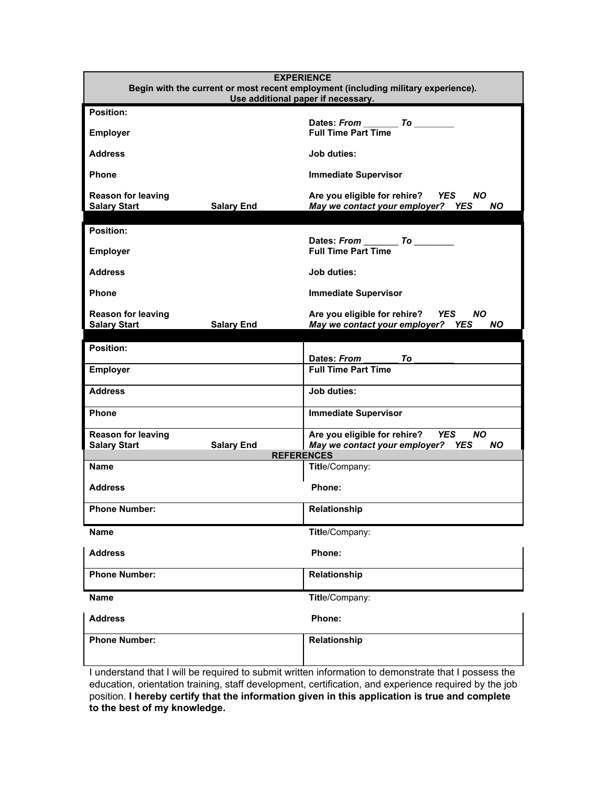| <b>EXPERIENCE</b><br>Begin with the current or most recent employment (including military experience).<br>Use additional paper if necessary. |                                                                                           |
|----------------------------------------------------------------------------------------------------------------------------------------------|-------------------------------------------------------------------------------------------|
| Position:                                                                                                                                    |                                                                                           |
| <b>Employer</b>                                                                                                                              | Dates: From To<br><b>Full Time Part Time</b>                                              |
| <b>Address</b>                                                                                                                               | <b>Job duties:</b>                                                                        |
| Phone                                                                                                                                        | <b>Immediate Supervisor</b>                                                               |
| <b>Reason for leaving</b><br><b>Salary Start</b><br><b>Salary End</b>                                                                        | Are you eligible for rehire? YES<br>NO.<br>May we contact your employer? YES<br><b>NO</b> |
| <b>Position:</b>                                                                                                                             |                                                                                           |
| Employer                                                                                                                                     | Dates: From To<br><b>Full Time Part Time</b>                                              |
| <b>Address</b>                                                                                                                               | Job duties:                                                                               |
| <b>Phone</b>                                                                                                                                 | <b>Immediate Supervisor</b>                                                               |
| <b>Reason for leaving</b><br><b>Salary Start</b><br><b>Salary End</b>                                                                        | Are you eligible for rehire? YES<br>NO.<br>May we contact your employer? YES<br>NO.       |
|                                                                                                                                              |                                                                                           |
| <b>Position:</b>                                                                                                                             | Dates: From<br>To                                                                         |
| <b>Employer</b>                                                                                                                              | <b>Full Time Part Time</b>                                                                |
| <b>Address</b>                                                                                                                               | <b>Job duties:</b>                                                                        |
| <b>Phone</b>                                                                                                                                 | <b>Immediate Supervisor</b>                                                               |
| <b>Reason for leaving</b><br><b>Salary Start</b><br><b>Salary End</b>                                                                        | Are you eligible for rehire? YES<br><b>NO</b><br>May we contact your employer? YES<br>NO. |
|                                                                                                                                              | <b>REFERENCES</b>                                                                         |
| <b>Name</b>                                                                                                                                  | Title/Company:                                                                            |
| <b>Address</b>                                                                                                                               | Phone:                                                                                    |
| <b>Phone Number:</b>                                                                                                                         | <b>Relationship</b>                                                                       |
| <b>Name</b>                                                                                                                                  | Title/Company:                                                                            |
| <b>Address</b>                                                                                                                               | Phone:                                                                                    |
| <b>Phone Number:</b>                                                                                                                         | Relationship                                                                              |
| <b>Name</b>                                                                                                                                  | Title/Company:                                                                            |
| <b>Address</b>                                                                                                                               | Phone:                                                                                    |
| <b>Phone Number:</b>                                                                                                                         | Relationship                                                                              |
|                                                                                                                                              |                                                                                           |

I understand that I will be required to submit written information to demonstrate that I possess the education, orientation training, staff development, certification, and experience required by the job position. **I hereby certify that the information given in this application is true and complete to the best of my knowledge.**